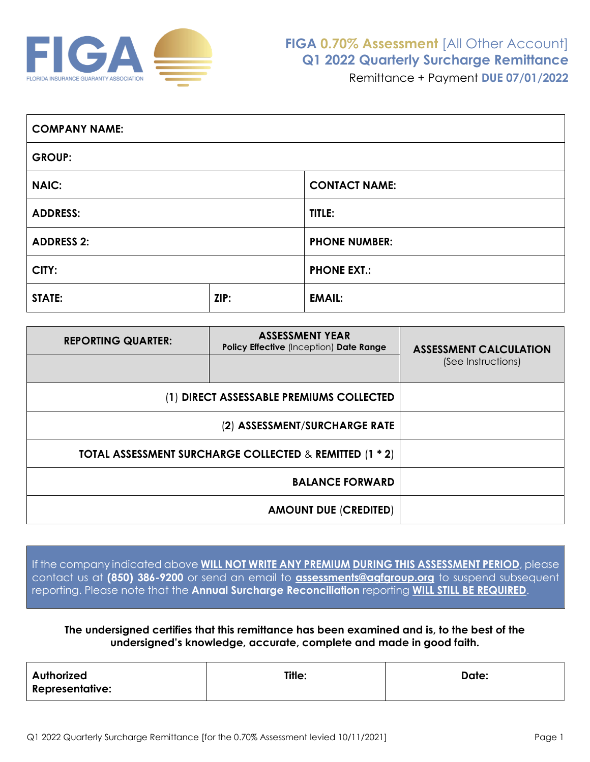

| <b>COMPANY NAME:</b> |      |                      |  |  |
|----------------------|------|----------------------|--|--|
| <b>GROUP:</b>        |      |                      |  |  |
| <b>NAIC:</b>         |      | <b>CONTACT NAME:</b> |  |  |
| <b>ADDRESS:</b>      |      | TITLE:               |  |  |
| <b>ADDRESS 2:</b>    |      | <b>PHONE NUMBER:</b> |  |  |
| CITY:                |      | <b>PHONE EXT.:</b>   |  |  |
| <b>STATE:</b>        | ZIP: | <b>EMAIL:</b>        |  |  |

| <b>REPORTING QUARTER:</b>                               | <b>ASSESSMENT YEAR</b><br>Policy Effective (Inception) Date Range | <b>ASSESSMENT CALCULATION</b><br>(See Instructions) |
|---------------------------------------------------------|-------------------------------------------------------------------|-----------------------------------------------------|
| (1) DIRECT ASSESSABLE PREMIUMS COLLECTED                |                                                                   |                                                     |
|                                                         |                                                                   |                                                     |
| TOTAL ASSESSMENT SURCHARGE COLLECTED & REMITTED (1 * 2) |                                                                   |                                                     |
|                                                         |                                                                   |                                                     |
|                                                         |                                                                   |                                                     |

If the company indicated above **WILL NOT WRITE ANY PREMIUM [DURING THIS ASSESSMENT P](mailto:ASSESSMENTS@AGFGROUP.ORG)ERIOD**, please contact us at **(850) 386-9200** or send an email to **assessments@agfgroup.org** to suspend subsequent reporting. Please note that the **Annual Surcharge Reconciliation** reporting **WILL STILL BE REQUIRED**.

## **The undersigned certifies that this remittance has been examined and is, to the best of the undersigned's knowledge, accurate, complete and made in good faith.**

| Authorized<br>Representative: | Title: | Date: |
|-------------------------------|--------|-------|
|                               |        |       |